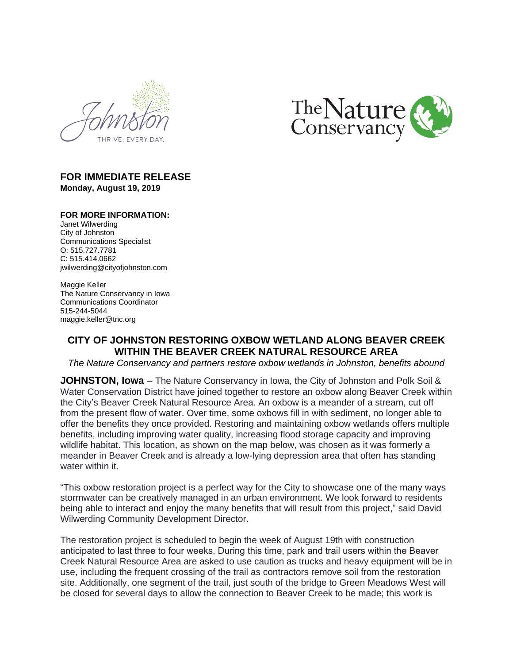



## **FOR IMMEDIATE RELEASE Monday, August 19, 2019**

### **FOR MORE INFORMATION:**

Janet Wilwerding City of Johnston Communications Specialist O: 515.727.7781 C: 515.414.0662 jwilwerding@cityofjohnston.com

Maggie Keller The Nature Conservancy in Iowa Communications Coordinator 515-244-5044 maggie.keller@tnc.org

# **CITY OF JOHNSTON RESTORING OXBOW WETLAND ALONG BEAVER CREEK WITHIN THE BEAVER CREEK NATURAL RESOURCE AREA**

*The Nature Conservancy and partners restore oxbow wetlands in Johnston, benefits abound*

**JOHNSTON, Iowa** – The Nature Conservancy in Iowa, the City of Johnston and Polk Soil & Water Conservation District have joined together to restore an oxbow along Beaver Creek within the City's Beaver Creek Natural Resource Area. An oxbow is a meander of a stream, cut off from the present flow of water. Over time, some oxbows fill in with sediment, no longer able to offer the benefits they once provided. Restoring and maintaining oxbow wetlands offers multiple benefits, including improving water quality, increasing flood storage capacity and improving wildlife habitat. This location, as shown on the map below, was chosen as it was formerly a meander in Beaver Creek and is already a low-lying depression area that often has standing water within it.

"This oxbow restoration project is a perfect way for the City to showcase one of the many ways stormwater can be creatively managed in an urban environment. We look forward to residents being able to interact and enjoy the many benefits that will result from this project," said David Wilwerding Community Development Director.

The restoration project is scheduled to begin the week of August 19th with construction anticipated to last three to four weeks. During this time, park and trail users within the Beaver Creek Natural Resource Area are asked to use caution as trucks and heavy equipment will be in use, including the frequent crossing of the trail as contractors remove soil from the restoration site. Additionally, one segment of the trail, just south of the bridge to Green Meadows West will be closed for several days to allow the connection to Beaver Creek to be made; this work is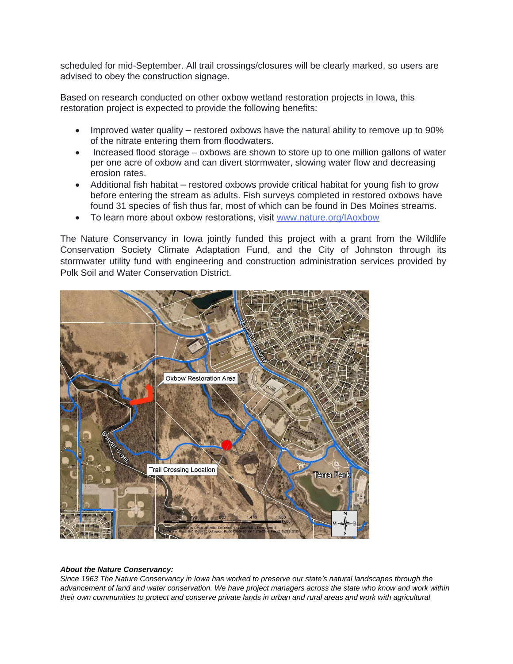scheduled for mid-September. All trail crossings/closures will be clearly marked, so users are advised to obey the construction signage.

Based on research conducted on other oxbow wetland restoration projects in Iowa, this restoration project is expected to provide the following benefits:

- Improved water quality restored oxbows have the natural ability to remove up to 90% of the nitrate entering them from floodwaters.
- Increased flood storage oxbows are shown to store up to one million gallons of water per one acre of oxbow and can divert stormwater, slowing water flow and decreasing erosion rates.
- Additional fish habitat restored oxbows provide critical habitat for young fish to grow before entering the stream as adults. Fish surveys completed in restored oxbows have found 31 species of fish thus far, most of which can be found in Des Moines streams.
- To learn more about oxbow restorations, visit [www.nature.org/IAoxbow](http://www.nature.org/IAoxbow)

The Nature [Conservancy](http://www.nature.org/IAoxbow) in Iowa jointly funded this project with a grant from the Wildlife [Conservation](http://www.nature.org/IAoxbow) Society Climate Adaptation Fund, and the City of Johnston through its stormwater utility fund with engineering and [construction](http://www.nature.org/IAoxbow) [administration](http://www.nature.org/IAoxbow) services provided by [Polk Soil and Water Conservation District.](http://www.nature.org/IAoxbow)



### *[About the Nature Conservancy:](http://www.nature.org/IAoxbow)*

*[Since 1963 The Nature Conservancy in Iowa has worked to preserve our state](http://www.nature.org/IAoxbow)'s natural landscapes through the [advancement of land and water conservation. We have project managers across the state who know and work within](http://www.nature.org/IAoxbow)  their own communities to protect and conserve private lands in urban and rural areas and work with agricultural*